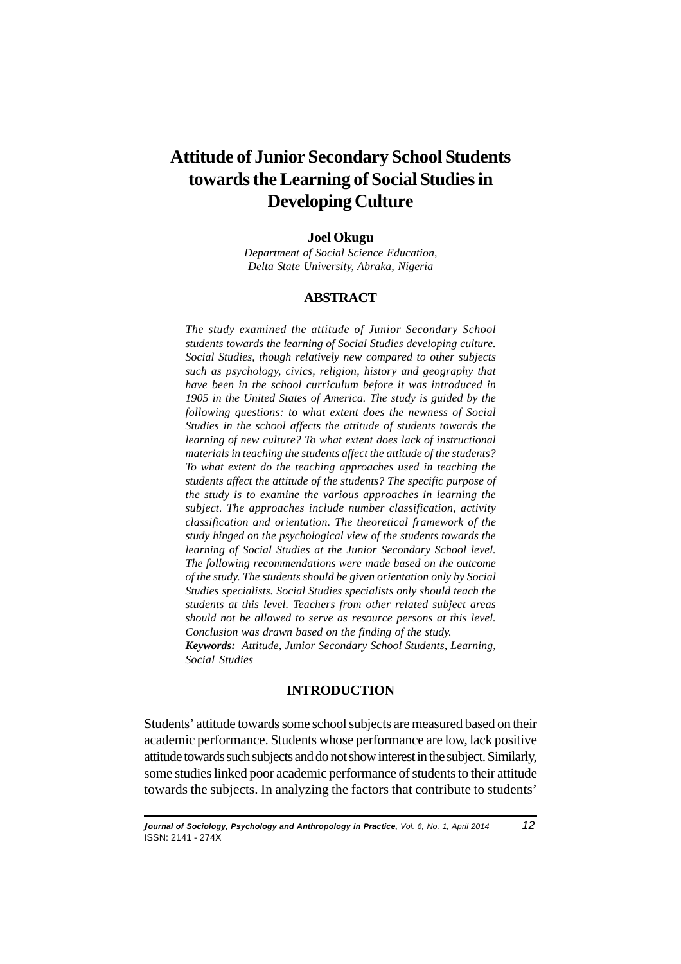# **Attitude of Junior Secondary School Students towards the Learning of Social Studies in Developing Culture**

#### **Joel Okugu**

*Department of Social Science Education, Delta State University, Abraka, Nigeria*

#### **ABSTRACT**

*The study examined the attitude of Junior Secondary School students towards the learning of Social Studies developing culture. Social Studies, though relatively new compared to other subjects such as psychology, civics, religion, history and geography that have been in the school curriculum before it was introduced in 1905 in the United States of America. The study is guided by the following questions: to what extent does the newness of Social Studies in the school affects the attitude of students towards the learning of new culture? To what extent does lack of instructional materials in teaching the students affect the attitude of the students? To what extent do the teaching approaches used in teaching the students affect the attitude of the students? The specific purpose of the study is to examine the various approaches in learning the subject. The approaches include number classification, activity classification and orientation. The theoretical framework of the study hinged on the psychological view of the students towards the learning of Social Studies at the Junior Secondary School level. The following recommendations were made based on the outcome of the study. The students should be given orientation only by Social Studies specialists. Social Studies specialists only should teach the students at this level. Teachers from other related subject areas should not be allowed to serve as resource persons at this level. Conclusion was drawn based on the finding of the study. Keywords: Attitude, Junior Secondary School Students, Learning, Social Studies*

#### **INTRODUCTION**

Students' attitude towards some school subjects are measured based on their academic performance. Students whose performance are low, lack positive attitude towards such subjects and do not show interest in the subject. Similarly, some studies linked poor academic performance of students to their attitude towards the subjects. In analyzing the factors that contribute to students'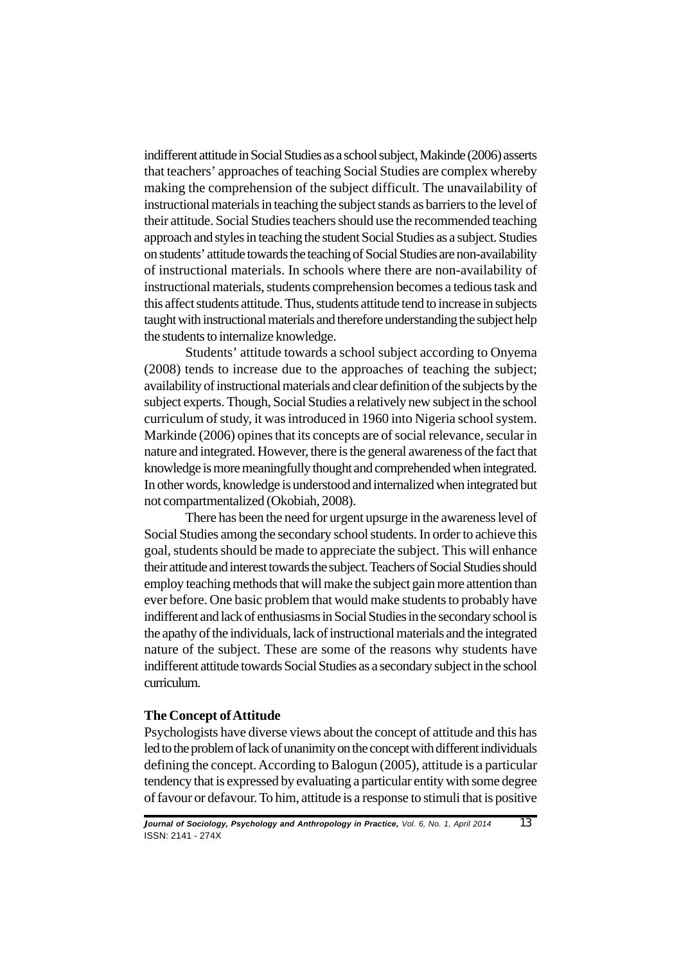indifferent attitude in Social Studies as a school subject, Makinde (2006) asserts that teachers' approaches of teaching Social Studies are complex whereby making the comprehension of the subject difficult. The unavailability of instructional materials in teaching the subject stands as barriers to the level of their attitude. Social Studies teachers should use the recommended teaching approach and styles in teaching the student Social Studies as a subject. Studies on students' attitude towards the teaching of Social Studies are non-availability of instructional materials. In schools where there are non-availability of instructional materials, students comprehension becomes a tedious task and this affect students attitude. Thus, students attitude tend to increase in subjects taught with instructional materials and therefore understanding the subject help the students to internalize knowledge.

Students' attitude towards a school subject according to Onyema (2008) tends to increase due to the approaches of teaching the subject; availability of instructional materials and clear definition of the subjects by the subject experts. Though, Social Studies a relatively new subject in the school curriculum of study, it was introduced in 1960 into Nigeria school system. Markinde (2006) opines that its concepts are of social relevance, secular in nature and integrated. However, there is the general awareness of the fact that knowledge is more meaningfully thought and comprehended when integrated. In other words, knowledge is understood and internalized when integrated but not compartmentalized (Okobiah, 2008).

There has been the need for urgent upsurge in the awareness level of Social Studies among the secondary school students. In order to achieve this goal, students should be made to appreciate the subject. This will enhance their attitude and interest towards the subject. Teachers of Social Studies should employ teaching methods that will make the subject gain more attention than ever before. One basic problem that would make students to probably have indifferent and lack of enthusiasms in Social Studies in the secondary school is the apathy of the individuals, lack of instructional materials and the integrated nature of the subject. These are some of the reasons why students have indifferent attitude towards Social Studies as a secondary subject in the school curriculum.

#### **The Concept of Attitude**

Psychologists have diverse views about the concept of attitude and this has led to the problem of lack of unanimity on the concept with different individuals defining the concept. According to Balogun (2005), attitude is a particular tendency that is expressed by evaluating a particular entity with some degree of favour or defavour. To him, attitude is a response to stimuli that is positive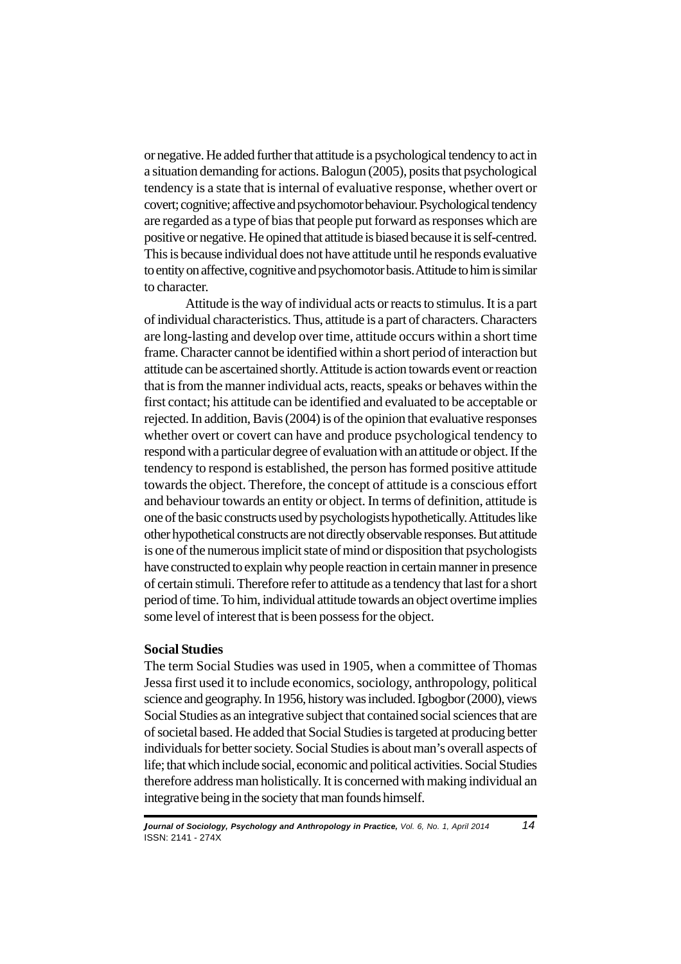or negative. He added further that attitude is a psychological tendency to act in a situation demanding for actions. Balogun (2005), posits that psychological tendency is a state that is internal of evaluative response, whether overt or covert; cognitive; affective and psychomotor behaviour. Psychological tendency are regarded as a type of bias that people put forward as responses which are positive or negative. He opined that attitude is biased because it is self-centred. This is because individual does not have attitude until he responds evaluative to entity on affective, cognitive and psychomotor basis. Attitude to him is similar to character.

Attitude is the way of individual acts or reacts to stimulus. It is a part of individual characteristics. Thus, attitude is a part of characters. Characters are long-lasting and develop over time, attitude occurs within a short time frame. Character cannot be identified within a short period of interaction but attitude can be ascertained shortly. Attitude is action towards event or reaction that is from the manner individual acts, reacts, speaks or behaves within the first contact; his attitude can be identified and evaluated to be acceptable or rejected. In addition, Bavis (2004) is of the opinion that evaluative responses whether overt or covert can have and produce psychological tendency to respond with a particular degree of evaluation with an attitude or object. If the tendency to respond is established, the person has formed positive attitude towards the object. Therefore, the concept of attitude is a conscious effort and behaviour towards an entity or object. In terms of definition, attitude is one of the basic constructs used by psychologists hypothetically. Attitudes like other hypothetical constructs are not directly observable responses. But attitude is one of the numerous implicit state of mind or disposition that psychologists have constructed to explain why people reaction in certain manner in presence of certain stimuli. Therefore refer to attitude as a tendency that last for a short period of time. To him, individual attitude towards an object overtime implies some level of interest that is been possess for the object.

#### **Social Studies**

The term Social Studies was used in 1905, when a committee of Thomas Jessa first used it to include economics, sociology, anthropology, political science and geography. In 1956, history was included. Igbogbor (2000), views Social Studies as an integrative subject that contained social sciences that are of societal based. He added that Social Studies is targeted at producing better individuals for better society. Social Studies is about man's overall aspects of life; that which include social, economic and political activities. Social Studies therefore address man holistically. It is concerned with making individual an integrative being in the society that man founds himself.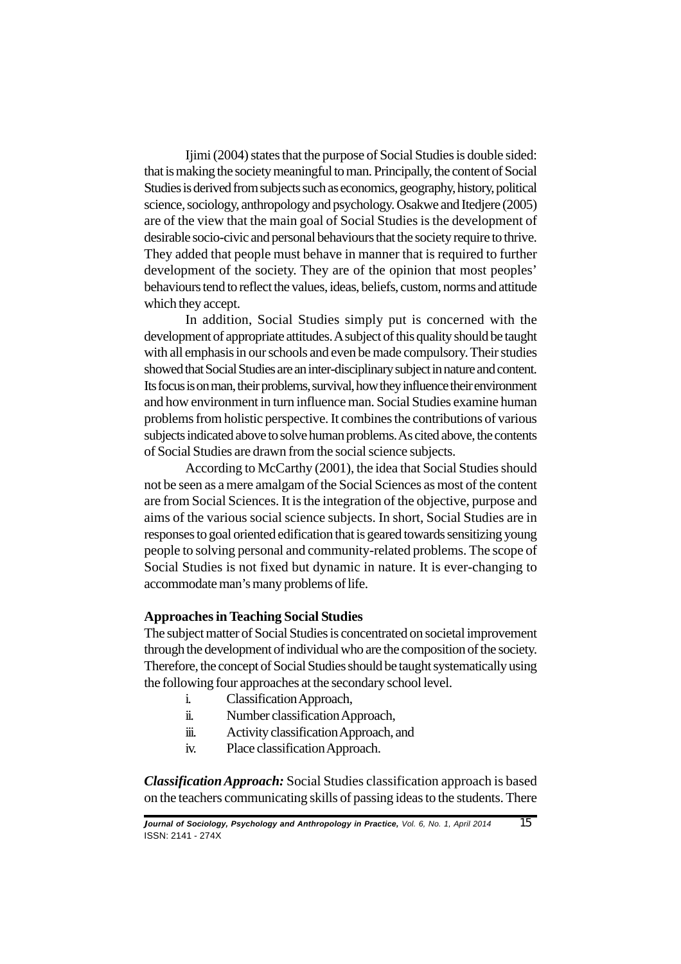Ijimi (2004) states that the purpose of Social Studies is double sided: that is making the society meaningful to man. Principally, the content of Social Studies is derived from subjects such as economics, geography, history, political science, sociology, anthropology and psychology. Osakwe and Itedjere (2005) are of the view that the main goal of Social Studies is the development of desirable socio-civic and personal behaviours that the society require to thrive. They added that people must behave in manner that is required to further development of the society. They are of the opinion that most peoples' behaviours tend to reflect the values, ideas, beliefs, custom, norms and attitude which they accept.

In addition, Social Studies simply put is concerned with the development of appropriate attitudes. A subject of this quality should be taught with all emphasis in our schools and even be made compulsory. Their studies showed that Social Studies are an inter-disciplinary subject in nature and content. Its focus is on man, their problems, survival, how they influence their environment and how environment in turn influence man. Social Studies examine human problems from holistic perspective. It combines the contributions of various subjects indicated above to solve human problems. As cited above, the contents of Social Studies are drawn from the social science subjects.

According to McCarthy (2001), the idea that Social Studies should not be seen as a mere amalgam of the Social Sciences as most of the content are from Social Sciences. It is the integration of the objective, purpose and aims of the various social science subjects. In short, Social Studies are in responses to goal oriented edification that is geared towards sensitizing young people to solving personal and community-related problems. The scope of Social Studies is not fixed but dynamic in nature. It is ever-changing to accommodate man's many problems of life.

#### **Approaches in Teaching Social Studies**

The subject matter of Social Studies is concentrated on societal improvement through the development of individual who are the composition of the society. Therefore, the concept of Social Studies should be taught systematically using the following four approaches at the secondary school level.

- i. Classification Approach,
- ii. Number classification Approach,
- iii. Activity classification Approach, and
- iv. Place classification Approach.

*Classification Approach:* Social Studies classification approach is based on the teachers communicating skills of passing ideas to the students. There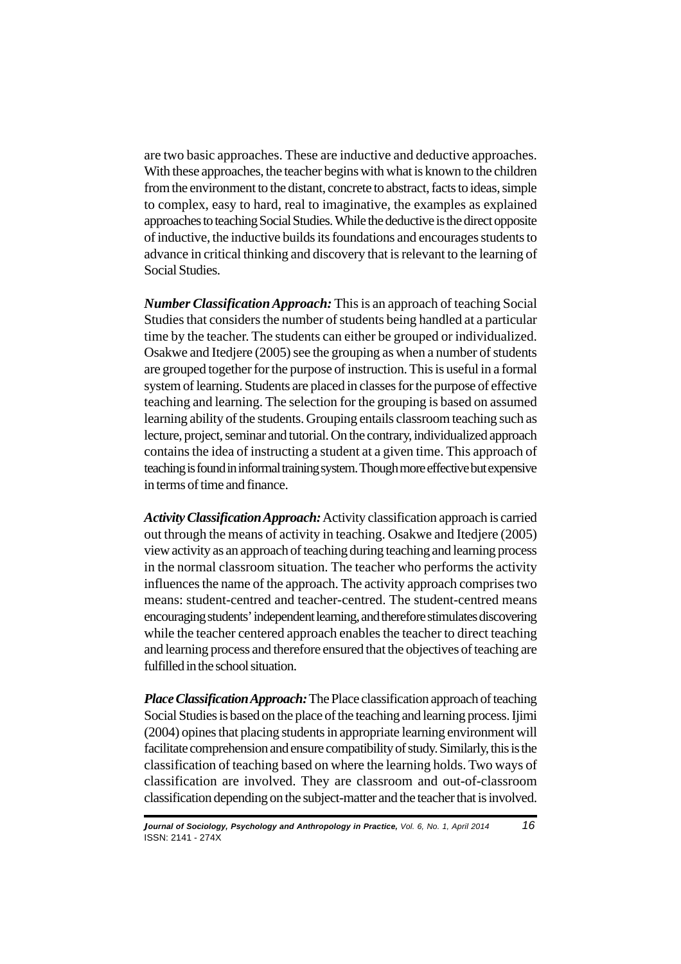are two basic approaches. These are inductive and deductive approaches. With these approaches, the teacher begins with what is known to the children from the environment to the distant, concrete to abstract, facts to ideas, simple to complex, easy to hard, real to imaginative, the examples as explained approaches to teaching Social Studies. While the deductive is the direct opposite of inductive, the inductive builds its foundations and encourages students to advance in critical thinking and discovery that is relevant to the learning of Social Studies.

*Number Classification Approach:* This is an approach of teaching Social Studies that considers the number of students being handled at a particular time by the teacher. The students can either be grouped or individualized. Osakwe and Itedjere (2005) see the grouping as when a number of students are grouped together for the purpose of instruction. This is useful in a formal system of learning. Students are placed in classes for the purpose of effective teaching and learning. The selection for the grouping is based on assumed learning ability of the students. Grouping entails classroom teaching such as lecture, project, seminar and tutorial. On the contrary, individualized approach contains the idea of instructing a student at a given time. This approach of teaching is found in informal training system. Though more effective but expensive in terms of time and finance.

*Activity Classification Approach:* Activity classification approach is carried out through the means of activity in teaching. Osakwe and Itedjere (2005) view activity as an approach of teaching during teaching and learning process in the normal classroom situation. The teacher who performs the activity influences the name of the approach. The activity approach comprises two means: student-centred and teacher-centred. The student-centred means encouraging students' independent learning, and therefore stimulates discovering while the teacher centered approach enables the teacher to direct teaching and learning process and therefore ensured that the objectives of teaching are fulfilled in the school situation.

*Place Classification Approach:* The Place classification approach of teaching Social Studies is based on the place of the teaching and learning process. Ijimi (2004) opines that placing students in appropriate learning environment will facilitate comprehension and ensure compatibility of study. Similarly, this is the classification of teaching based on where the learning holds. Two ways of classification are involved. They are classroom and out-of-classroom classification depending on the subject-matter and the teacher that is involved.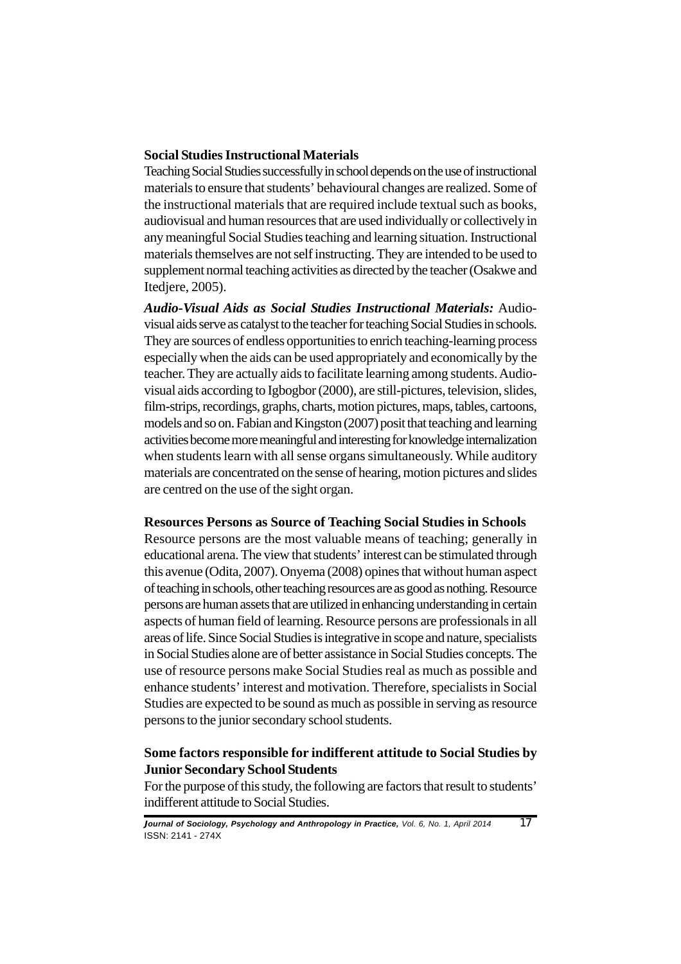### **Social Studies Instructional Materials**

Teaching Social Studies successfully in school depends on the use of instructional materials to ensure that students' behavioural changes are realized. Some of the instructional materials that are required include textual such as books, audiovisual and human resources that are used individually or collectively in any meaningful Social Studies teaching and learning situation. Instructional materials themselves are not self instructing. They are intended to be used to supplement normal teaching activities as directed by the teacher (Osakwe and Itedjere, 2005).

*Audio-Visual Aids as Social Studies Instructional Materials:* Audiovisual aids serve as catalyst to the teacher for teaching Social Studies in schools. They are sources of endless opportunities to enrich teaching-learning process especially when the aids can be used appropriately and economically by the teacher. They are actually aids to facilitate learning among students. Audiovisual aids according to Igbogbor (2000), are still-pictures, television, slides, film-strips, recordings, graphs, charts, motion pictures, maps, tables, cartoons, models and so on. Fabian and Kingston (2007) posit that teaching and learning activities become more meaningful and interesting for knowledge internalization when students learn with all sense organs simultaneously. While auditory materials are concentrated on the sense of hearing, motion pictures and slides are centred on the use of the sight organ.

#### **Resources Persons as Source of Teaching Social Studies in Schools**

Resource persons are the most valuable means of teaching; generally in educational arena. The view that students' interest can be stimulated through this avenue (Odita, 2007). Onyema (2008) opines that without human aspect of teaching in schools, other teaching resources are as good as nothing. Resource persons are human assets that are utilized in enhancing understanding in certain aspects of human field of learning. Resource persons are professionals in all areas of life. Since Social Studies is integrative in scope and nature, specialists in Social Studies alone are of better assistance in Social Studies concepts. The use of resource persons make Social Studies real as much as possible and enhance students' interest and motivation. Therefore, specialists in Social Studies are expected to be sound as much as possible in serving as resource persons to the junior secondary school students.

# **Some factors responsible for indifferent attitude to Social Studies by Junior Secondary School Students**

For the purpose of this study, the following are factors that result to students' indifferent attitude to Social Studies.

**<sup>J</sup>ournal of Sociology, Psychology and Anthropology in Practice,** Vol. 6, No. 1, April 2014 *17* ISSN: 2141 - 274X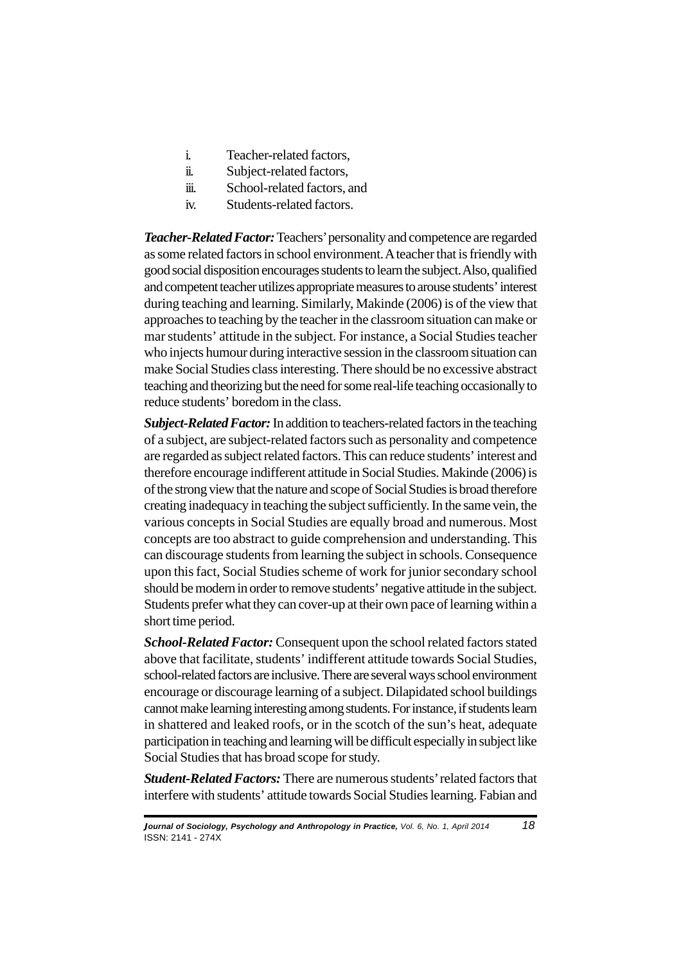- i. Teacher-related factors,
- ii. Subject-related factors,
- iii. School-related factors, and
- iv. Students-related factors.

*Teacher-Related Factor:*Teachers' personality and competence are regarded as some related factors in school environment. A teacher that is friendly with good social disposition encourages students to learn the subject. Also, qualified and competent teacher utilizes appropriate measures to arouse students' interest during teaching and learning. Similarly, Makinde (2006) is of the view that approaches to teaching by the teacher in the classroom situation can make or mar students' attitude in the subject. For instance, a Social Studies teacher who injects humour during interactive session in the classroom situation can make Social Studies class interesting. There should be no excessive abstract teaching and theorizing but the need for some real-life teaching occasionally to reduce students' boredom in the class.

*Subject-Related Factor:* In addition to teachers-related factors in the teaching of a subject, are subject-related factors such as personality and competence are regarded as subject related factors. This can reduce students' interest and therefore encourage indifferent attitude in Social Studies. Makinde (2006) is of the strong view that the nature and scope of Social Studies is broad therefore creating inadequacy in teaching the subject sufficiently. In the same vein, the various concepts in Social Studies are equally broad and numerous. Most concepts are too abstract to guide comprehension and understanding. This can discourage students from learning the subject in schools. Consequence upon this fact, Social Studies scheme of work for junior secondary school should be modern in order to remove students' negative attitude in the subject. Students prefer what they can cover-up at their own pace of learning within a short time period.

*School-Related Factor:* Consequent upon the school related factors stated above that facilitate, students' indifferent attitude towards Social Studies, school-related factors are inclusive. There are several ways school environment encourage or discourage learning of a subject. Dilapidated school buildings cannot make learning interesting among students. For instance, if students learn in shattered and leaked roofs, or in the scotch of the sun's heat, adequate participation in teaching and learning will be difficult especially in subject like Social Studies that has broad scope for study.

*Student-Related Factors:* There are numerous students' related factors that interfere with students' attitude towards Social Studies learning. Fabian and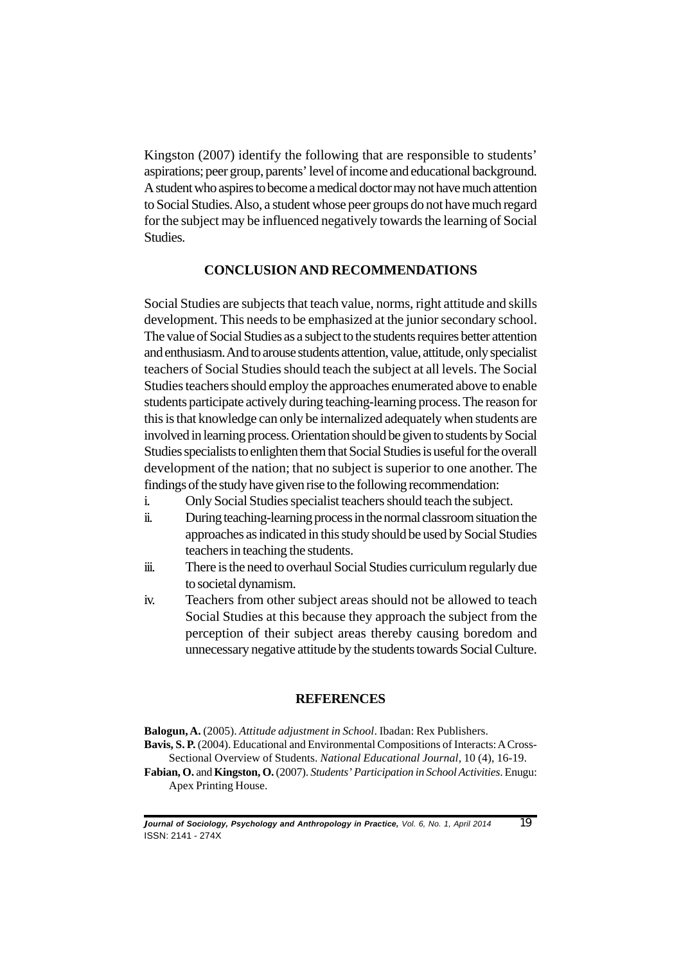Kingston (2007) identify the following that are responsible to students' aspirations; peer group, parents' level of income and educational background. A student who aspires to become a medical doctor may not have much attention to Social Studies. Also, a student whose peer groups do not have much regard for the subject may be influenced negatively towards the learning of Social Studies.

## **CONCLUSION AND RECOMMENDATIONS**

Social Studies are subjects that teach value, norms, right attitude and skills development. This needs to be emphasized at the junior secondary school. The value of Social Studies as a subject to the students requires better attention and enthusiasm. And to arouse students attention, value, attitude, only specialist teachers of Social Studies should teach the subject at all levels. The Social Studies teachers should employ the approaches enumerated above to enable students participate actively during teaching-learning process. The reason for this is that knowledge can only be internalized adequately when students are involved in learning process. Orientation should be given to students by Social Studies specialists to enlighten them that Social Studies is useful for the overall development of the nation; that no subject is superior to one another. The findings of the study have given rise to the following recommendation:

- i. Only Social Studies specialist teachers should teach the subject.
- ii. During teaching-learning process in the normal classroom situation the approaches as indicated in this study should be used by Social Studies teachers in teaching the students.
- iii. There is the need to overhaul Social Studies curriculum regularly due to societal dynamism.
- iv. Teachers from other subject areas should not be allowed to teach Social Studies at this because they approach the subject from the perception of their subject areas thereby causing boredom and unnecessary negative attitude by the students towards Social Culture.

### **REFERENCES**

**Balogun, A.** (2005). *Attitude adjustment in School*. Ibadan: Rex Publishers.

- **Bavis, S. P.** (2004). Educational and Environmental Compositions of Interacts: A Cross-Sectional Overview of Students. *National Educational Journal,* 10 (4), 16-19.
- **Fabian, O.** and **Kingston, O.** (2007). *Students' Participation in School Activities*. Enugu: Apex Printing House.